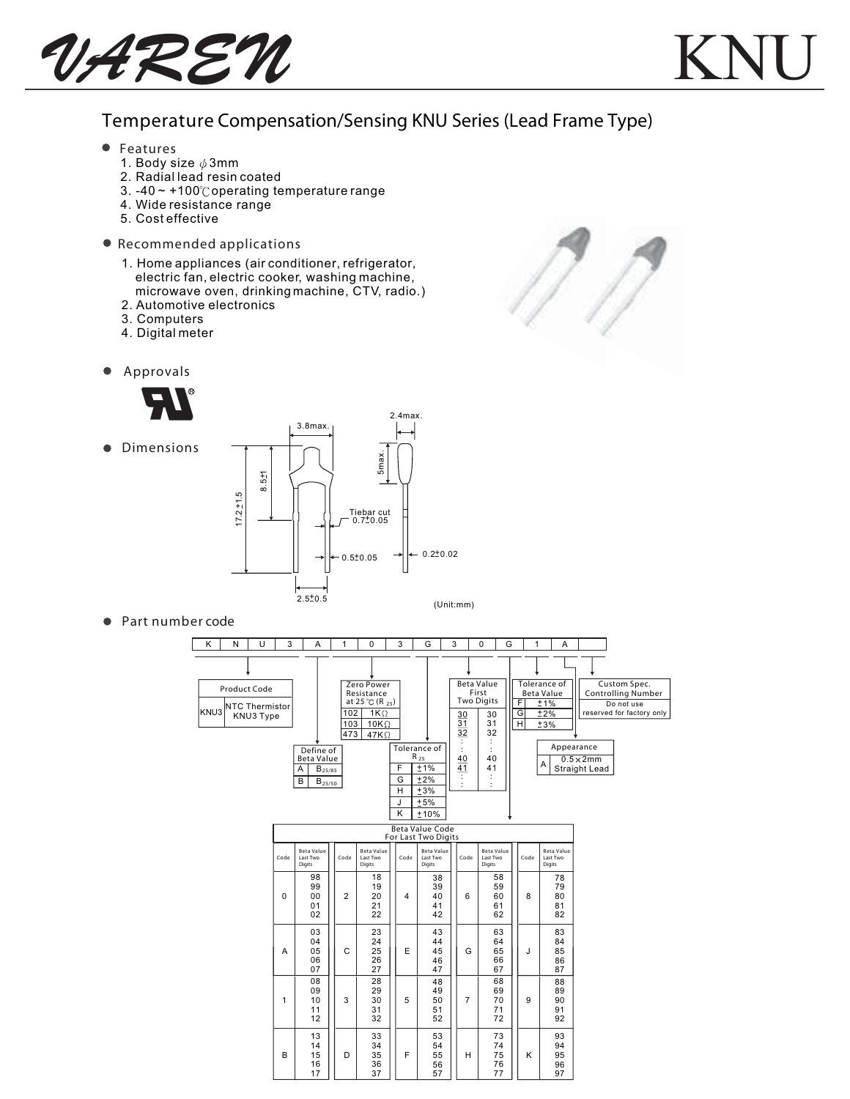

## Temperature Compensation/Sensing KNU Series (Lead Frame Type)

Ŋ

- Features
	- 1. Body size  $\phi$  3mm
	- 2. Radial lead resin coated
	- 3.  $-40 \sim +100^{\circ}$ Coperating temperature range
	- 4. Wide resistance range
	- 5. Cost effective
- Recommended applications
	- 1. Home appliances (air conditioner, refrigerator, electric fan, electric cooker, washing machine, microwave oven, drinking machine, CTV, radio.)
	- 2. Automotive electronics
	- 3. Computers
	- 4. Digital meter
- $\bullet$ Approvals



**•** Dimensions



● Part number code

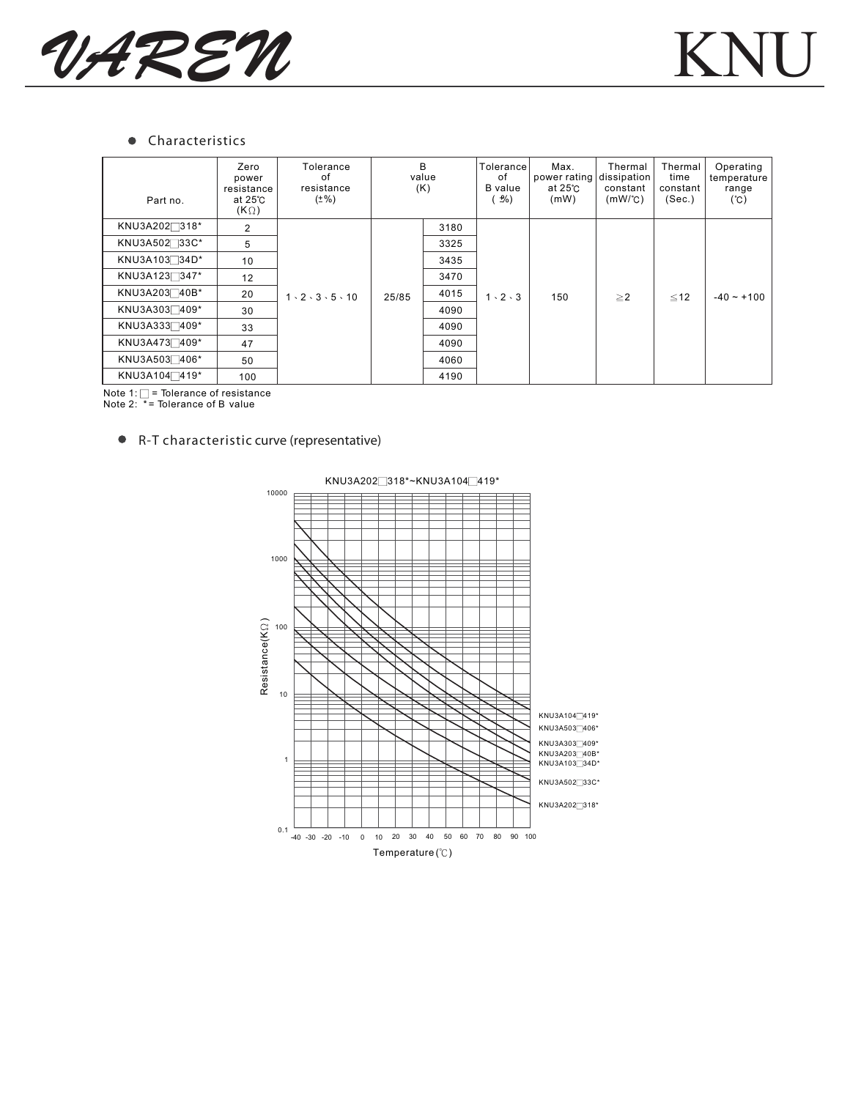

## **•** Characteristics

| Part no.                  | Zero<br>power<br>resistance<br>at $25^\circ$ C<br>(KQ) | Tolerance<br>of<br>resistance<br>$(\pm\%)$ | B<br>value<br>(K) |      | Tolerancel<br>of<br><b>B</b> value<br>$\frac{1}{2}$ <sup>o</sup> | Max.<br>power rating dissipation<br>at $25^\circ$ C<br>(mW) | Thermal<br>constant<br>$(mW)^{\circ}C$ | Thermal<br>time<br>constant<br>(Sec.) | Operating<br>temperature<br>range<br>$(^{\circ}\mathrm{C})$ |
|---------------------------|--------------------------------------------------------|--------------------------------------------|-------------------|------|------------------------------------------------------------------|-------------------------------------------------------------|----------------------------------------|---------------------------------------|-------------------------------------------------------------|
| KNU3A202 <sup>318*</sup>  | 2                                                      | $1 \cdot 2 \cdot 3 \cdot 5 \cdot 10$       | 25/85             | 3180 | $1 \cdot 2 \cdot 3$                                              | 150                                                         | $\geq$ 2                               | $\leq 12$                             | $-40 - +100$                                                |
| KNU3A502 33C*             | 5                                                      |                                            |                   | 3325 |                                                                  |                                                             |                                        |                                       |                                                             |
| KNU3A103734D*             | 10                                                     |                                            |                   | 3435 |                                                                  |                                                             |                                        |                                       |                                                             |
| KNU3A1237347*             | 12                                                     |                                            |                   | 3470 |                                                                  |                                                             |                                        |                                       |                                                             |
| KNU3A203 40B*             | 20                                                     |                                            |                   | 4015 |                                                                  |                                                             |                                        |                                       |                                                             |
| KNU3A3037409*             | 30                                                     |                                            |                   | 4090 |                                                                  |                                                             |                                        |                                       |                                                             |
| KNU3A3337409*             | 33                                                     |                                            |                   | 4090 |                                                                  |                                                             |                                        |                                       |                                                             |
| KNU3A4737409*             | 47                                                     |                                            |                   | 4090 |                                                                  |                                                             |                                        |                                       |                                                             |
| KNU3A503 406*             | 50                                                     |                                            |                   | 4060 |                                                                  |                                                             |                                        |                                       |                                                             |
| KNU3A104 <sup>-419*</sup> | 100                                                    |                                            |                   | 4190 |                                                                  |                                                             |                                        |                                       |                                                             |

Note 1: = Tolerance of resistance Note 2: \* = Tolerance of B value

## R-T characteristic curve (representative)



KNU3A202 318\*~KNU3A104 419\*